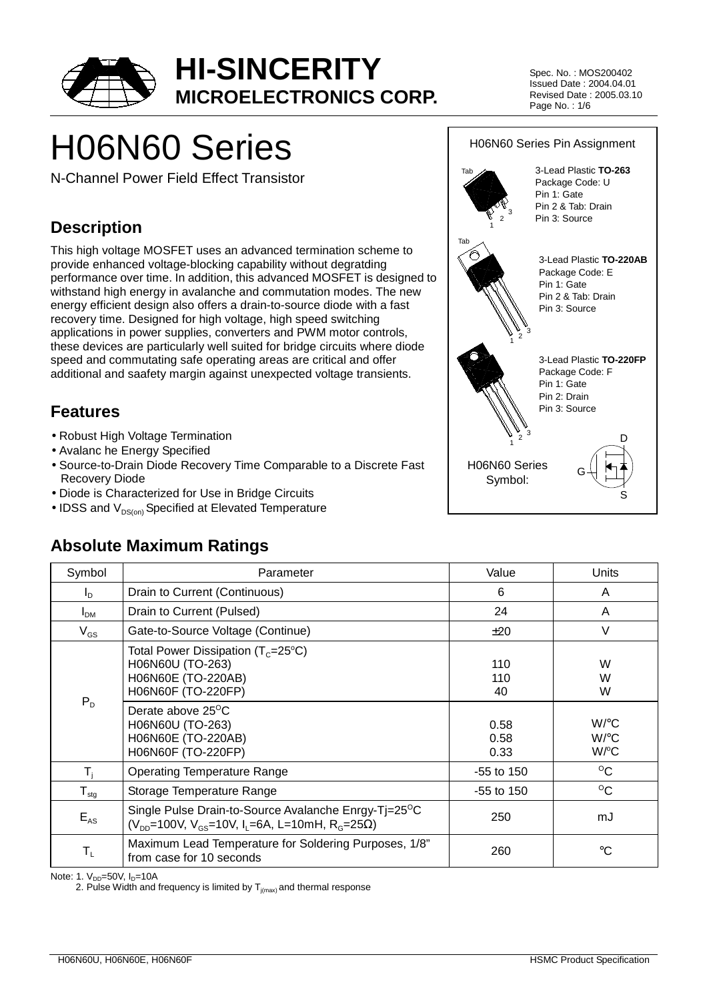

Spec. No. : MOS200402 Issued Date : 2004.04.01 Revised Date : 2005.03.10 Page No. : 1/6

# H06N60 Series

N-Channel Power Field Effect Transistor

### **Description**

This high voltage MOSFET uses an advanced termination scheme to provide enhanced voltage-blocking capability without degratding performance over time. In addition, this advanced MOSFET is designed to withstand high energy in avalanche and commutation modes. The new energy efficient design also offers a drain-to-source diode with a fast recovery time. Designed for high voltage, high speed switching applications in power supplies, converters and PWM motor controls, these devices are particularly well suited for bridge circuits where diode speed and commutating safe operating areas are critical and offer additional and saafety margin against unexpected voltage transients.

### **Features**

- Robust High Voltage Termination
- Avalanc he Energy Specified
- Source-to-Drain Diode Recovery Time Comparable to a Discrete Fast Recovery Diode
- Diode is Characterized for Use in Bridge Circuits
- IDSS and  $V_{DS(on)}$  Specified at Elevated Temperature

#### H06N60 Series Pin Assignment  $\frac{1}{1}$   $\frac{9}{2}$  3 3-Lead Plastic **TO-220FP** Package Code: F Pin 1: Gate Pin 2: Drain Pin 3: Source 3-Lead Plastic **TO-220AB** Package Code: E Pin 1: Gate Pin 2 & Tab: Drain Pin 3: Source 3-Lead Plastic **TO-263** Package Code: U Pin 1: Gate Pin 2 & Tab: Drain Pin 3: Source  $\frac{1}{1}$   $\frac{1}{2}$  3 Tab  $\begin{array}{c} \n\searrow \\
1 \n\end{array}$ Tab H06N60 Series Symbol: D S

# **Absolute Maximum Ratings**

| Symbol                     | Parameter                                                                                                                                                                                                         | Value                                    | Units                                             |
|----------------------------|-------------------------------------------------------------------------------------------------------------------------------------------------------------------------------------------------------------------|------------------------------------------|---------------------------------------------------|
| $I_{\text{D}}$             | Drain to Current (Continuous)                                                                                                                                                                                     | 6                                        | A                                                 |
| I <sub>DM</sub>            | Drain to Current (Pulsed)                                                                                                                                                                                         | 24                                       | A                                                 |
| $V_{GS}$                   | Gate-to-Source Voltage (Continue)                                                                                                                                                                                 | ±20                                      | $\vee$                                            |
| $P_{D}$                    | Total Power Dissipation ( $T_c = 25^{\circ}C$ )<br>H06N60U (TO-263)<br>H06N60E (TO-220AB)<br>H06N60F (TO-220FP)<br>Derate above 25 <sup>o</sup> C<br>H06N60U (TO-263)<br>H06N60E (TO-220AB)<br>H06N60F (TO-220FP) | 110<br>110<br>40<br>0.58<br>0.58<br>0.33 | W<br>W<br>W<br>$W$ / $\circ$ C<br>$W$ /°C<br>W/°C |
| T,                         | <b>Operating Temperature Range</b>                                                                                                                                                                                | -55 to 150                               | $^{\circ}$ C                                      |
| ${\mathsf T}_{\text{stg}}$ | Storage Temperature Range                                                                                                                                                                                         | $-55$ to 150                             | $^{\circ}$ C                                      |
| $E_{AS}$                   | Single Pulse Drain-to-Source Avalanche Enrgy-Tj=25 <sup>o</sup> C<br>$(V_{DD} = 100V, V_{GS} = 10V, I_L = 6A, L = 10mH, R_G = 25Ω)$                                                                               | 250                                      | mJ                                                |
| $\mathsf{T}_{\mathsf{L}}$  | Maximum Lead Temperature for Soldering Purposes, 1/8"<br>from case for 10 seconds                                                                                                                                 | 260                                      | °C                                                |

Note: 1.  $V_{DD} = 50V$ ,  $I_D = 10A$ 

2. Pulse Width and frequency is limited by  $T_{i(max)}$  and thermal response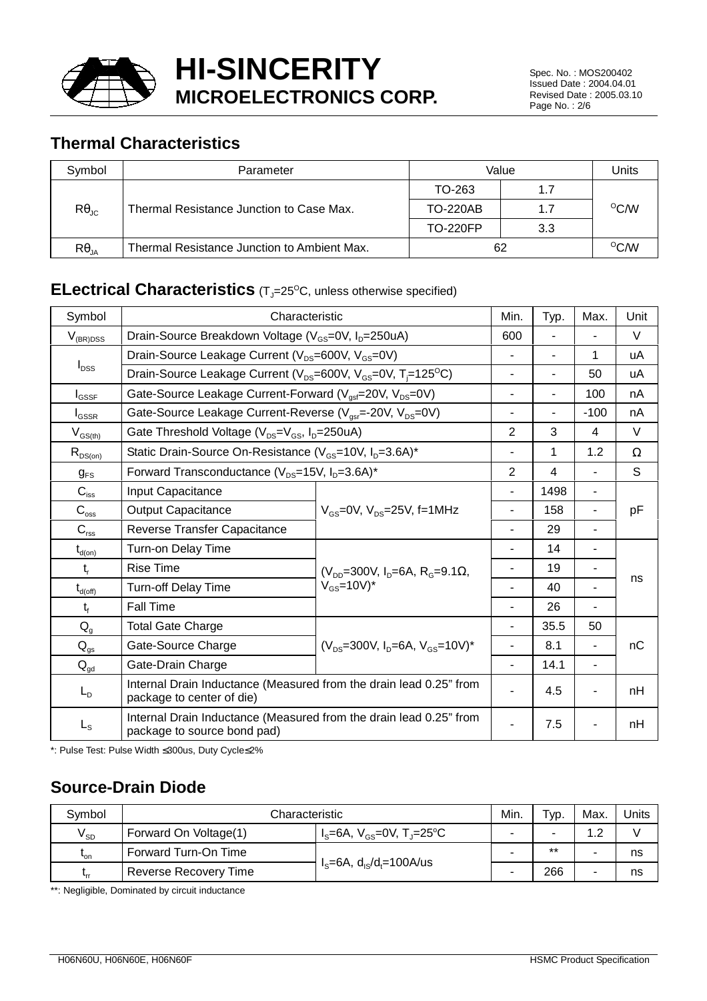

Spec. No. : MOS200402 Issued Date : 2004.04.01 Revised Date : 2005.03.10 Page No. : 2/6

### **Thermal Characteristics**

| Symbol                | Parameter                                         | Value           | Units |                |
|-----------------------|---------------------------------------------------|-----------------|-------|----------------|
|                       |                                                   | TO-263          | 1.7   |                |
| $R\theta_{\text{JC}}$ | Thermal Resistance Junction to Case Max.          | <b>TO-220AB</b> | 1.7   | $^{\circ}$ C/W |
|                       |                                                   | <b>TO-220FP</b> | 3.3   |                |
| $R\theta_{JA}$        | Thermal Resistance Junction to Ambient Max.<br>62 |                 |       | $^{\circ}$ C/W |

### **ELectrical Characteristics** (T<sub>J</sub>=25°C, unless otherwise specified)

| Symbol                   | Characteristic                                                                                    |                                                   |                | Typ.           | Max.           | Unit   |
|--------------------------|---------------------------------------------------------------------------------------------------|---------------------------------------------------|----------------|----------------|----------------|--------|
| $V_{(BR)DSS}$            | Drain-Source Breakdown Voltage (V <sub>GS</sub> =0V, I <sub>D</sub> =250uA)                       |                                                   |                |                |                | $\vee$ |
|                          | Drain-Source Leakage Current (V <sub>DS</sub> =600V, V <sub>GS</sub> =0V)                         |                                                   |                |                | 1              | uA     |
| $I_{DSS}$                | Drain-Source Leakage Current ( $V_{DS}=600V$ , $V_{GS}=0V$ , T <sub>i</sub> =125 <sup>o</sup> C)  |                                                   | ٠              |                | 50             | uA     |
| $I_{GSSF}$               | Gate-Source Leakage Current-Forward (V <sub>ast</sub> =20V, V <sub>DS</sub> =0V)                  |                                                   |                | $\blacksquare$ | 100            | nA     |
| $I_{GSSR}$               | Gate-Source Leakage Current-Reverse (V <sub>gsr</sub> =-20V, V <sub>DS</sub> =0V)                 |                                                   | ٠              |                | $-100$         | nA     |
| $V_{GS(th)}$             | Gate Threshold Voltage (V <sub>DS</sub> =V <sub>GS</sub> , I <sub>D</sub> =250uA)                 |                                                   | $\overline{2}$ | 3              | 4              | $\vee$ |
| $R_{DS(on)}$             | Static Drain-Source On-Resistance (V <sub>GS</sub> =10V, I <sub>D</sub> =3.6A)*                   |                                                   |                | 1              | 1.2            | Ω      |
| $g_{FS}$                 | Forward Transconductance (V <sub>DS</sub> =15V, I <sub>D</sub> =3.6A)*                            |                                                   | 2              | $\overline{4}$ |                | S      |
| $C_{\text{iss}}$         | Input Capacitance                                                                                 |                                                   |                | 1498           |                | pF     |
| $C_{\rm{oss}}$           | <b>Output Capacitance</b>                                                                         | $V_{\text{GS}}$ =0V, $V_{\text{DS}}$ =25V, f=1MHz |                | 158            |                |        |
| $C_{\text{rss}}$         | Reverse Transfer Capacitance                                                                      |                                                   | $\blacksquare$ | 29             | $\blacksquare$ |        |
| $t_{d(0n)}$              | Turn-on Delay Time                                                                                |                                                   |                | 14             |                | ns     |
| $t_{r}$                  | <b>Rise Time</b>                                                                                  | $(V_{DD} = 300V, I_D = 6A, R_G = 9.1\Omega,$      |                | 19             |                |        |
| $t_{d(\text{off})}$      | <b>Turn-off Delay Time</b>                                                                        | $V_{GS}$ =10V)*                                   |                | 40             | $\blacksquare$ |        |
| $t_{f}$                  | Fall Time                                                                                         |                                                   |                | 26             |                |        |
| $Q_{q}$                  | <b>Total Gate Charge</b>                                                                          |                                                   |                | 35.5           | 50             |        |
| $\mathsf{Q}_\mathsf{gs}$ | Gate-Source Charge                                                                                | $(V_{DS}=300V, I_D=6A, V_{GS}=10V)^*$             |                | 8.1            | $\blacksquare$ | nC     |
| $Q_{gd}$                 | Gate-Drain Charge                                                                                 |                                                   |                | 14.1           | $\blacksquare$ |        |
| $L_{D}$                  | Internal Drain Inductance (Measured from the drain lead 0.25" from<br>package to center of die)   |                                                   |                | 4.5            |                | nH     |
| $L_{\rm S}$              | Internal Drain Inductance (Measured from the drain lead 0.25" from<br>package to source bond pad) |                                                   |                | 7.5            |                | nH     |

\*: Pulse Test: Pulse Width ≤300us, Duty Cycle≤2%

### **Source-Drain Diode**

| Symbol     | Characteristic        |                                                  | Min. | Typ.  | Max. | Units |
|------------|-----------------------|--------------------------------------------------|------|-------|------|-------|
| $V_{SD}$   | Forward On Voltage(1) | $I_s = 6A$ , $V_{cs} = 0V$ , $T_s = 25^{\circ}C$ |      |       |      |       |
| $L_{on}$   | Forward Turn-On Time  |                                                  | -    | $***$ |      | ns    |
| <b>Lrr</b> | Reverse Recovery Time | $I_s = 6A$ , $d_{1s}/d_t = 100A/us$              |      | 266   |      | ns    |

\*\*: Negligible, Dominated by circuit inductance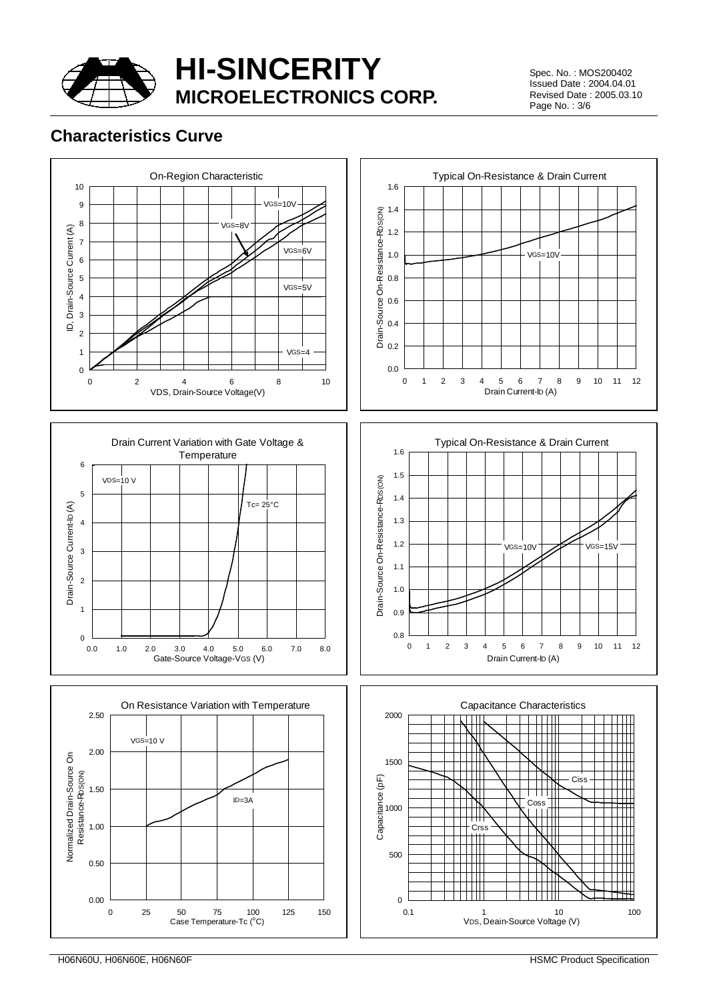

Spec. No. : MOS200402 Issued Date : 2004.04.01 Revised Date : 2005.03.10 Page No. : 3/6

### **Characteristics Curve**











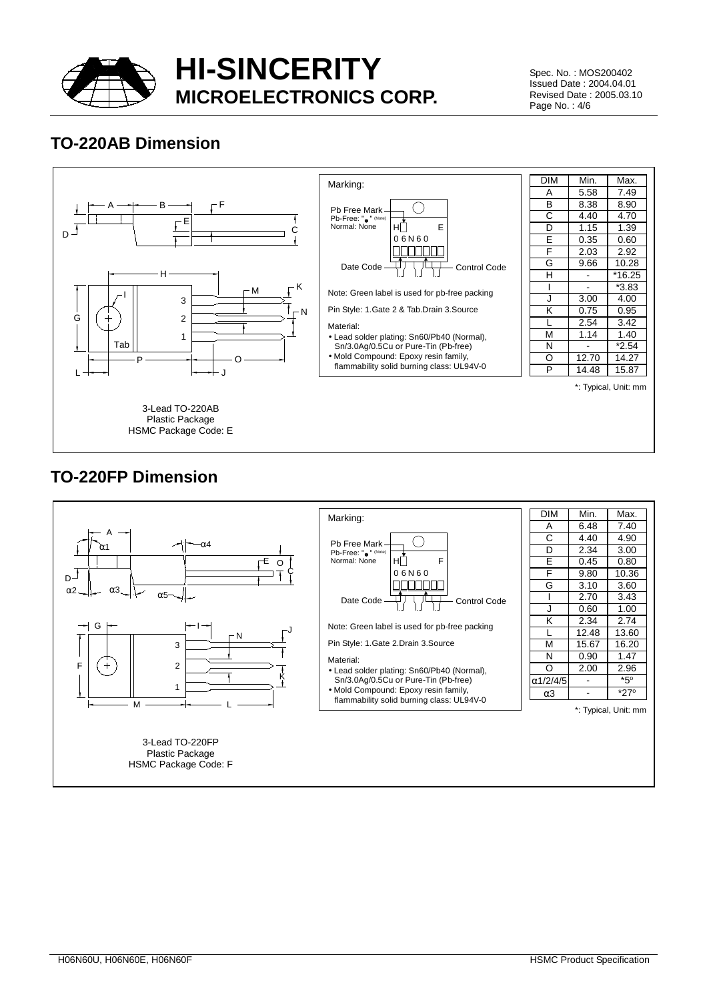

Spec. No. : MOS200402 Issued Date : 2004.04.01 Revised Date : 2005.03.10 Page No. : 4/6

### **TO-220AB Dimension**



### **TO-220FP Dimension**

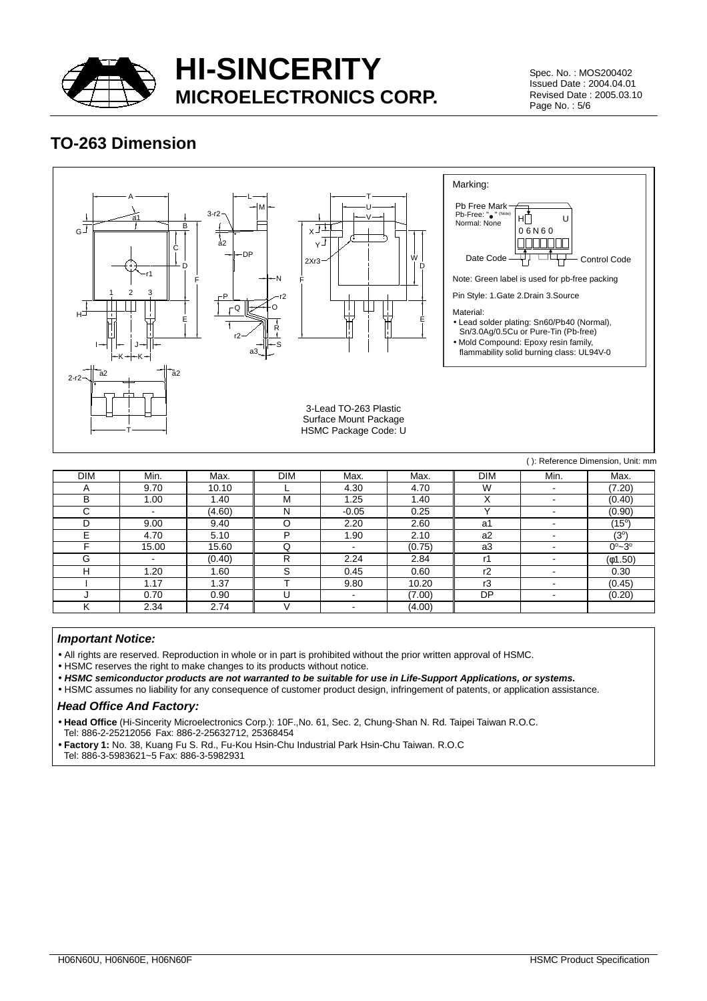

Spec. No. : MOS200402 Issued Date : 2004.04.01 Revised Date : 2005.03.10 Page No. : 5/6

### **TO-263 Dimension**



| <b>DIM</b> | Min.           | Max.   | <b>DIM</b> | Max.                     | Max.   | <b>DIM</b>     | Min.                     | Max.                    |
|------------|----------------|--------|------------|--------------------------|--------|----------------|--------------------------|-------------------------|
| Α          | 9.70           | 10.10  |            | 4.30                     | 4.70   | W              | $\overline{\phantom{0}}$ | (7.20)                  |
| в          | 1.00           | 1.40   | М          | .25                      | 1.40   | ∧              | $\overline{\phantom{0}}$ | (0.40)                  |
| С          | ۰.             | (4.60) | N          | $-0.05$                  | 0.25   |                | $\overline{\phantom{a}}$ | (0.90)                  |
| D          | 9.00           | 9.40   |            | 2.20                     | 2.60   | a1             | $\,$ $\,$                | $(15^{\circ})$          |
|            | 4.70           | 5.10   | D          | .90                      | 2.10   | a <sub>2</sub> | $\overline{\phantom{0}}$ | $(3^{\circ})$           |
|            | 15.00          | 15.60  | Q          | -                        | (0.75) | a <sub>3</sub> | $\,$                     | $0^{\circ} - 3^{\circ}$ |
| G          | $\blacksquare$ | (0.40) | R          | 2.24                     | 2.84   | r1             | $\overline{\phantom{0}}$ | (61.50)                 |
| H          | .20            | 1.60   | S          | 0.45                     | 0.60   | r2             | $\overline{\phantom{0}}$ | 0.30                    |
|            | 1.17           | 1.37   |            | 9.80                     | 10.20  | r3             | $\overline{\phantom{0}}$ | (0.45)                  |
|            | 0.70           | 0.90   |            | $\overline{\phantom{0}}$ | (7.00) | DP             | $\overline{\phantom{a}}$ | (0.20)                  |
|            | 2.34           | 2.74   |            | $\blacksquare$           | (4.00) |                |                          |                         |

#### *Important Notice:*

• All rights are reserved. Reproduction in whole or in part is prohibited without the prior written approval of HSMC.

• HSMC reserves the right to make changes to its products without notice.

• *HSMC semiconductor products are not warranted to be suitable for use in Life-Support Applications, or systems.*

• HSMC assumes no liability for any consequence of customer product design, infringement of patents, or application assistance.

#### *Head Office And Factory:*

• **Head Office** (Hi-Sincerity Microelectronics Corp.): 10F.,No. 61, Sec. 2, Chung-Shan N. Rd. Taipei Taiwan R.O.C.

Tel: 886-2-25212056 Fax: 886-2-25632712, 25368454

• **Factory 1:** No. 38, Kuang Fu S. Rd., Fu-Kou Hsin-Chu Industrial Park Hsin-Chu Taiwan. R.O.C

Tel: 886-3-5983621~5 Fax: 886-3-5982931